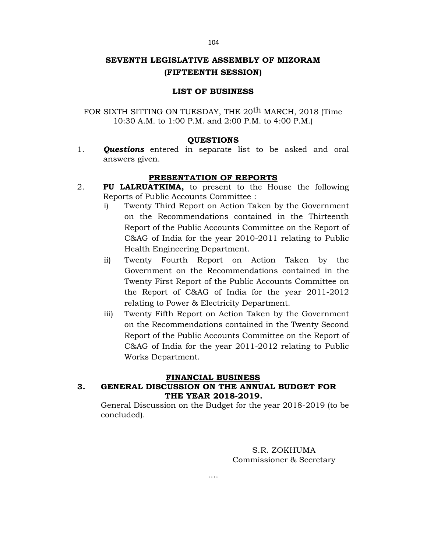#### 104

# **SEVENTH LEGISLATIVE ASSEMBLY OF MIZORAM (FIFTEENTH SESSION)**

# **LIST OF BUSINESS**

FOR SIXTH SITTING ON TUESDAY, THE 20<sup>th</sup> MARCH, 2018 (Time 10:30 A.M. to 1:00 P.M. and 2:00 P.M. to 4:00 P.M.)

### **QUESTIONS**

1. *Questions* entered in separate list to be asked and oral answers given.

## **PRESENTATION OF REPORTS**

- 2. **PU LALRUATKIMA,** to present to the House the following Reports of Public Accounts Committee :
	- i) Twenty Third Report on Action Taken by the Government on the Recommendations contained in the Thirteenth Report of the Public Accounts Committee on the Report of C&AG of India for the year 2010-2011 relating to Public Health Engineering Department.
	- ii) Twenty Fourth Report on Action Taken by the Government on the Recommendations contained in the Twenty First Report of the Public Accounts Committee on the Report of C&AG of India for the year 2011-2012 relating to Power & Electricity Department.
	- iii) Twenty Fifth Report on Action Taken by the Government on the Recommendations contained in the Twenty Second Report of the Public Accounts Committee on the Report of C&AG of India for the year 2011-2012 relating to Public Works Department.

### **FINANCIAL BUSINESS**

# **3. GENERAL DISCUSSION ON THE ANNUAL BUDGET FOR THE YEAR 2018-2019.**

General Discussion on the Budget for the year 2018-2019 (to be concluded).

> S.R. ZOKHUMA Commissioner & Secretary

….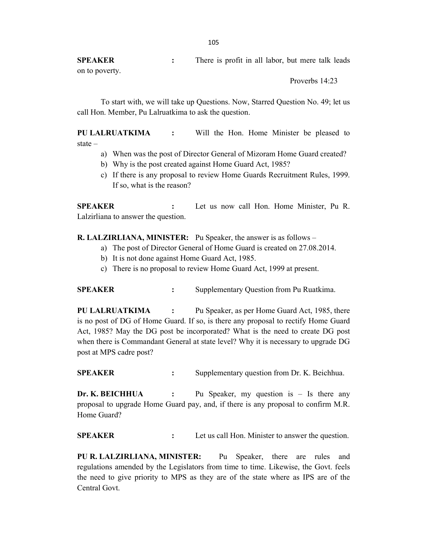**SPEAKER :** There is profit in all labor, but mere talk leads on to poverty.

Proverbs 14:23

To start with, we will take up Questions. Now, Starred Question No. 49; let us call Hon. Member, Pu Lalruatkima to ask the question.

**PU LALRUATKIMA :** Will the Hon. Home Minister be pleased to state –

- a) When was the post of Director General of Mizoram Home Guard created?
- b) Why is the post created against Home Guard Act, 1985?
- c) If there is any proposal to review Home Guards Recruitment Rules, 1999. If so, what is the reason?

**SPEAKER :** Let us now call Hon. Home Minister, Pu R. Lalzirliana to answer the question.

**R. LALZIRLIANA, MINISTER:** Pu Speaker, the answer is as follows –

- a) The post of Director General of Home Guard is created on 27.08.2014.
- b) It is not done against Home Guard Act, 1985.
- c) There is no proposal to review Home Guard Act, 1999 at present.

**SPEAKER** : Supplementary Question from Pu Ruatkima.

**PU LALRUATKIMA :** Pu Speaker, as per Home Guard Act, 1985, there is no post of DG of Home Guard. If so, is there any proposal to rectify Home Guard Act, 1985? May the DG post be incorporated? What is the need to create DG post when there is Commandant General at state level? Why it is necessary to upgrade DG post at MPS cadre post?

**SPEAKER :** Supplementary question from Dr. K. Beichhua.

**Dr. K. BEICHHUA :** Pu Speaker, my question is – Is there any proposal to upgrade Home Guard pay, and, if there is any proposal to confirm M.R. Home Guard?

**SPEAKER :** Let us call Hon. Minister to answer the question.

**PU R. LALZIRLIANA, MINISTER:** Pu Speaker, there are rules and regulations amended by the Legislators from time to time. Likewise, the Govt. feels the need to give priority to MPS as they are of the state where as IPS are of the Central Govt.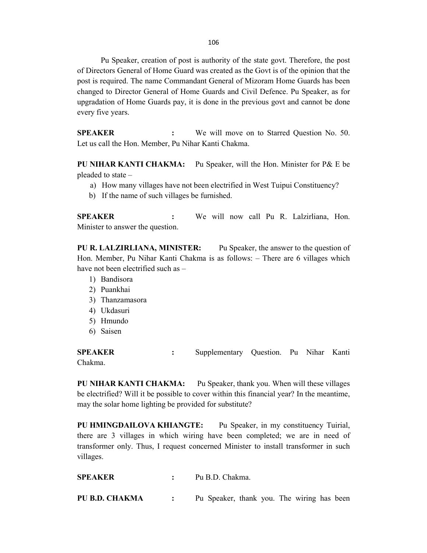106

Pu Speaker, creation of post is authority of the state govt. Therefore, the post of Directors General of Home Guard was created as the Govt is of the opinion that the post is required. The name Commandant General of Mizoram Home Guards has been changed to Director General of Home Guards and Civil Defence. Pu Speaker, as for upgradation of Home Guards pay, it is done in the previous govt and cannot be done every five years.

**SPEAKER :** We will move on to Starred Question No. 50. Let us call the Hon. Member, Pu Nihar Kanti Chakma.

**PU NIHAR KANTI CHAKMA:** Pu Speaker, will the Hon. Minister for P& E be pleaded to state –

- a) How many villages have not been electrified in West Tuipui Constituency?
- b) If the name of such villages be furnished.

**SPEAKER :** We will now call Pu R. Lalzirliana, Hon. Minister to answer the question.

**PU R. LALZIRLIANA, MINISTER:** Pu Speaker, the answer to the question of Hon. Member, Pu Nihar Kanti Chakma is as follows: – There are 6 villages which have not been electrified such as –

- 1) Bandisora
- 2) Puankhai
- 3) Thanzamasora
- 4) Ukdasuri
- 5) Hmundo
- 6) Saisen

**SPEAKER :** Supplementary Question. Pu Nihar Kanti Chakma.

**PU NIHAR KANTI CHAKMA:** Pu Speaker, thank you. When will these villages be electrified? Will it be possible to cover within this financial year? In the meantime, may the solar home lighting be provided for substitute?

**PU HMINGDAILOVA KHIANGTE:** Pu Speaker, in my constituency Tuirial, there are 3 villages in which wiring have been completed; we are in need of transformer only. Thus, I request concerned Minister to install transformer in such villages.

| <b>SPEAKER</b> | Pu B.D. Chakma.                            |
|----------------|--------------------------------------------|
| PU B.D. CHAKMA | Pu Speaker, thank you. The wiring has been |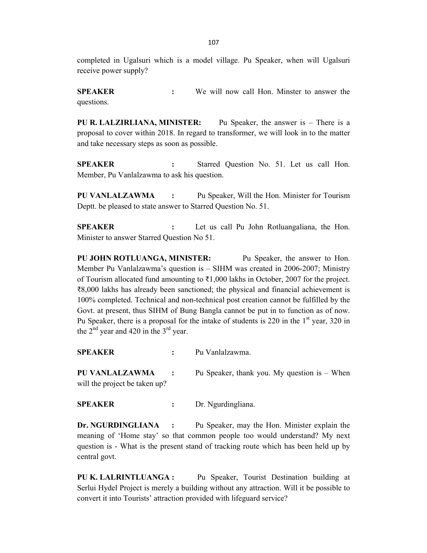completed in Ugalsuri which is a model village. Pu Speaker, when will Ugalsuri receive power supply?

**SPEAKER :** We will now call Hon. Minster to answer the questions.

**PU R. LALZIRLIANA, MINISTER:** Pu Speaker, the answer is – There is a proposal to cover within 2018. In regard to transformer, we will look in to the matter and take necessary steps as soon as possible.

**SPEAKER :** Starred Question No. 51. Let us call Hon. Member, Pu Vanlalzawma to ask his question.

**PU VANLALZAWMA :** Pu Speaker, Will the Hon. Minister for Tourism Deptt. be pleased to state answer to Starred Question No. 51.

**SPEAKER :** Let us call Pu John Rotluangaliana, the Hon. Minister to answer Starred Question No 51.

**PU JOHN ROTLUANGA, MINISTER:** Pu Speaker, the answer to Hon. Member Pu Vanlalzawma's question is – SIHM was created in 2006-2007; Ministry of Tourism allocated fund amounting to  $\bar{\tau}1,000$  lakhs in October, 2007 for the project. ₹8,000 lakhs has already been sanctioned; the physical and financial achievement is 100% completed. Technical and non-technical post creation cannot be fulfilled by the Govt. at present, thus SIHM of Bung Bangla cannot be put in to function as of now. Pu Speaker, there is a proposal for the intake of students is 220 in the  $1<sup>st</sup>$  year, 320 in the  $2<sup>nd</sup>$  year and 420 in the  $3<sup>rd</sup>$  year.

| <b>SPEAKER</b>                                  |                             | Pu Vanlalzawma.                                |
|-------------------------------------------------|-----------------------------|------------------------------------------------|
| PU VANLALZAWMA<br>will the project be taken up? | $\mathcal{L} = \mathcal{L}$ | Pu Speaker, thank you. My question is $-$ When |

**SPEAKER :** Dr. Ngurdingliana.

**Dr. NGURDINGLIANA :** Pu Speaker, may the Hon. Minister explain the meaning of 'Home stay' so that common people too would understand? My next question is - What is the present stand of tracking route which has been held up by central govt.

**PU K. LALRINTLUANGA :** Pu Speaker, Tourist Destination building at Serlui Hydel Project is merely a building without any attraction. Will it be possible to convert it into Tourists' attraction provided with lifeguard service?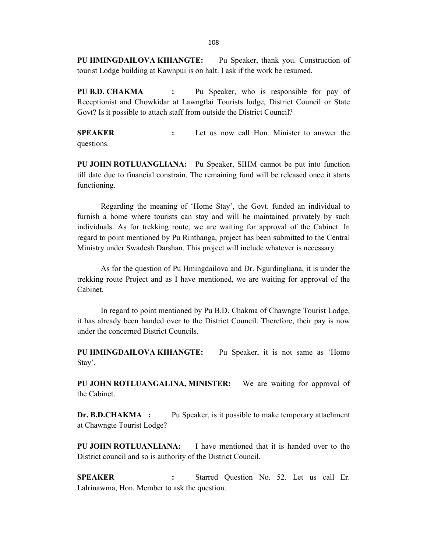**PU HMINGDAILOVA KHIANGTE:** Pu Speaker, thank you. Construction of tourist Lodge building at Kawnpui is on halt. I ask if the work be resumed.

**PU B.D. CHAKMA :** Pu Speaker, who is responsible for pay of Receptionist and Chowkidar at Lawngtlai Tourists lodge, District Council or State Govt? Is it possible to attach staff from outside the District Council?

**SPEAKER :** Let us now call Hon. Minister to answer the questions.

**PU JOHN ROTLUANGLIANA:** Pu Speaker, SIHM cannot be put into function till date due to financial constrain. The remaining fund will be released once it starts functioning.

Regarding the meaning of 'Home Stay', the Govt. funded an individual to furnish a home where tourists can stay and will be maintained privately by such individuals. As for trekking route, we are waiting for approval of the Cabinet. In regard to point mentioned by Pu Rinthanga, project has been submitted to the Central Ministry under Swadesh Darshan. This project will include whatever is necessary.

As for the question of Pu Hmingdailova and Dr. Ngurdingliana, it is under the trekking route Project and as I have mentioned, we are waiting for approval of the Cabinet.

In regard to point mentioned by Pu B.D. Chakma of Chawngte Tourist Lodge, it has already been handed over to the District Council. Therefore, their pay is now under the concerned District Councils.

**PU HMINGDAILOVA KHIANGTE:** Pu Speaker, it is not same as 'Home Stay'.

**PU JOHN ROTLUANGALINA, MINISTER:** We are waiting for approval of the Cabinet.

**Dr. B.D.CHAKMA :** Pu Speaker, is it possible to make temporary attachment at Chawngte Tourist Lodge?

**PU JOHN ROTLUANLIANA:** I have mentioned that it is handed over to the District council and so is authority of the District Council.

**SPEAKER :** Starred Question No. 52. Let us call Er. Lalrinawma, Hon. Member to ask the question.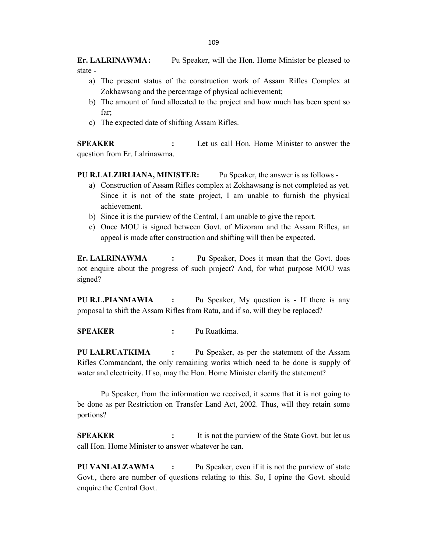**Er. LALRINAWMA:** Pu Speaker, will the Hon. Home Minister be pleased to state -

- a) The present status of the construction work of Assam Rifles Complex at Zokhawsang and the percentage of physical achievement;
- b) The amount of fund allocated to the project and how much has been spent so far;
- c) The expected date of shifting Assam Rifles.

**SPEAKER :** Let us call Hon. Home Minister to answer the question from Er. Lalrinawma.

**PU R.LALZIRLIANA, MINISTER:** Pu Speaker, the answer is as follows -

- a) Construction of Assam Rifles complex at Zokhawsang is not completed as yet. Since it is not of the state project, I am unable to furnish the physical achievement.
- b) Since it is the purview of the Central, I am unable to give the report.
- c) Once MOU is signed between Govt. of Mizoram and the Assam Rifles, an appeal is made after construction and shifting will then be expected.

**Er. LALRINAWMA :** Pu Speaker, Does it mean that the Govt. does not enquire about the progress of such project? And, for what purpose MOU was signed?

**PU R.L.PIANMAWIA :** Pu Speaker, My question is - If there is any proposal to shift the Assam Rifles from Ratu, and if so, will they be replaced?

**SPEAKER :** Pu Ruatkima.

**PU LALRUATKIMA :** Pu Speaker, as per the statement of the Assam Rifles Commandant, the only remaining works which need to be done is supply of water and electricity. If so, may the Hon. Home Minister clarify the statement?

Pu Speaker, from the information we received, it seems that it is not going to be done as per Restriction on Transfer Land Act, 2002. Thus, will they retain some portions?

**SPEAKER** : It is not the purview of the State Govt. but let us call Hon. Home Minister to answer whatever he can.

**PU VANLALZAWMA :** Pu Speaker, even if it is not the purview of state Govt., there are number of questions relating to this. So, I opine the Govt. should enquire the Central Govt.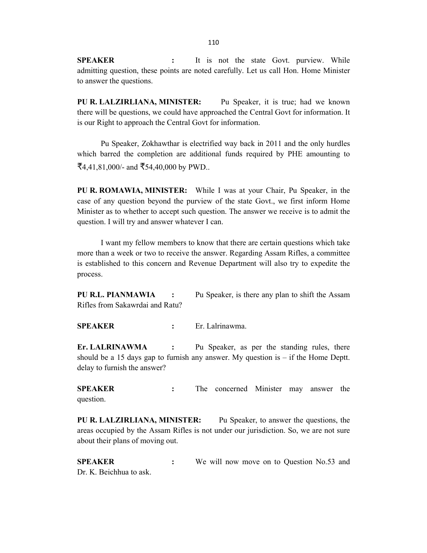**SPEAKER :** It is not the state Govt. purview. While admitting question, these points are noted carefully. Let us call Hon. Home Minister to answer the questions.

**PU R. LALZIRLIANA, MINISTER:** Pu Speaker, it is true; had we known there will be questions, we could have approached the Central Govt for information. It is our Right to approach the Central Govt for information.

Pu Speaker, Zokhawthar is electrified way back in 2011 and the only hurdles which barred the completion are additional funds required by PHE amounting to ₹4,41,81,000/- and ₹54,40,000 by PWD..

**PU R. ROMAWIA, MINISTER:** While I was at your Chair, Pu Speaker, in the case of any question beyond the purview of the state Govt., we first inform Home Minister as to whether to accept such question. The answer we receive is to admit the question. I will try and answer whatever I can.

I want my fellow members to know that there are certain questions which take more than a week or two to receive the answer. Regarding Assam Rifles, a committee is established to this concern and Revenue Department will also try to expedite the process.

**PU R.L. PIANMAWIA :** Pu Speaker, is there any plan to shift the Assam Rifles from Sakawrdai and Ratu?

**SPEAKER :** Er. Lalrinawma.

**Er. LALRINAWMA :** Pu Speaker, as per the standing rules, there should be a 15 days gap to furnish any answer. My question is  $-$  if the Home Deptt. delay to furnish the answer?

**SPEAKER :** The concerned Minister may answer the question.

**PU R. LALZIRLIANA, MINISTER:** Pu Speaker, to answer the questions, the areas occupied by the Assam Rifles is not under our jurisdiction. So, we are not sure about their plans of moving out.

**SPEAKER :** We will now move on to Question No.53 and Dr. K. Beichhua to ask.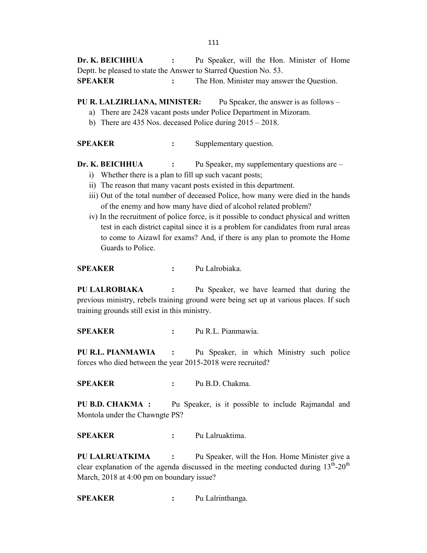**Dr. K. BEICHHUA** : Pu Speaker, will the Hon. Minister of Home Deptt. be pleased to state the Answer to Starred Question No. 53. **SPEAKER** : The Hon. Minister may answer the Question.

- **PU R. LALZIRLIANA, MINISTER:** Pu Speaker, the answer is as follows
	- a) There are 2428 vacant posts under Police Department in Mizoram.
	- b) There are 435 Nos. deceased Police during 2015 2018.

**SPEAKER** : Supplementary question.

**Dr. K. BEICHHUA** : Pu Speaker, my supplementary questions are –

- i) Whether there is a plan to fill up such vacant posts;
- ii) The reason that many vacant posts existed in this department.
- iii) Out of the total number of deceased Police, how many were died in the hands of the enemy and how many have died of alcohol related problem?
- iv) In the recruitment of police force, is it possible to conduct physical and written test in each district capital since it is a problem for candidates from rural areas to come to Aizawl for exams? And, if there is any plan to promote the Home Guards to Police.

**SPEAKER :** Pu Lalrobiaka.

**PU LALROBIAKA :** Pu Speaker, we have learned that during the previous ministry, rebels training ground were being set up at various places. If such training grounds still exist in this ministry.

**SPEAKER :** Pu R.L. Pianmawia.

**PU R.L. PIANMAWIA :** Pu Speaker, in which Ministry such police forces who died between the year 2015-2018 were recruited?

**SPEAKER :** Pu B.D. Chakma.

**PU B.D. CHAKMA :** Pu Speaker, is it possible to include Rajmandal and Montola under the Chawngte PS?

**SPEAKER :** Pu Lalruaktima.

**PU LALRUATKIMA :** Pu Speaker, will the Hon. Home Minister give a clear explanation of the agenda discussed in the meeting conducted during  $13<sup>th</sup>$ -20<sup>th</sup> March, 2018 at 4:00 pm on boundary issue?

**SPEAKER :** Pu Lalrinthanga.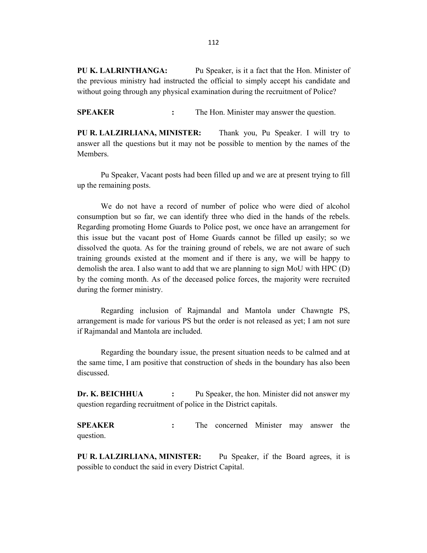**PU K. LALRINTHANGA:** Pu Speaker, is it a fact that the Hon. Minister of the previous ministry had instructed the official to simply accept his candidate and without going through any physical examination during the recruitment of Police?

**SPEAKER** : The Hon. Minister may answer the question.

**PU R. LALZIRLIANA, MINISTER:** Thank you, Pu Speaker. I will try to answer all the questions but it may not be possible to mention by the names of the Members.

Pu Speaker, Vacant posts had been filled up and we are at present trying to fill up the remaining posts.

We do not have a record of number of police who were died of alcohol consumption but so far, we can identify three who died in the hands of the rebels. Regarding promoting Home Guards to Police post, we once have an arrangement for this issue but the vacant post of Home Guards cannot be filled up easily; so we dissolved the quota. As for the training ground of rebels, we are not aware of such training grounds existed at the moment and if there is any, we will be happy to demolish the area. I also want to add that we are planning to sign MoU with HPC (D) by the coming month. As of the deceased police forces, the majority were recruited during the former ministry.

Regarding inclusion of Rajmandal and Mantola under Chawngte PS, arrangement is made for various PS but the order is not released as yet; I am not sure if Rajmandal and Mantola are included.

Regarding the boundary issue, the present situation needs to be calmed and at the same time, I am positive that construction of sheds in the boundary has also been discussed.

**Dr. K. BEICHHUA :** Pu Speaker, the hon. Minister did not answer my question regarding recruitment of police in the District capitals.

**SPEAKER** : The concerned Minister may answer the question.

**PU R. LALZIRLIANA, MINISTER:** Pu Speaker, if the Board agrees, it is possible to conduct the said in every District Capital.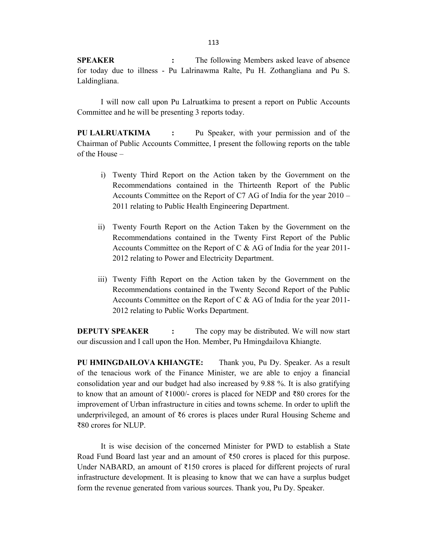**SPEAKER** : The following Members asked leave of absence for today due to illness - Pu Lalrinawma Ralte, Pu H. Zothangliana and Pu S. Laldingliana.

I will now call upon Pu Lalruatkima to present a report on Public Accounts Committee and he will be presenting 3 reports today.

**PU LALRUATKIMA :** Pu Speaker, with your permission and of the Chairman of Public Accounts Committee, I present the following reports on the table of the House –

- i) Twenty Third Report on the Action taken by the Government on the Recommendations contained in the Thirteenth Report of the Public Accounts Committee on the Report of C7 AG of India for the year 2010 – 2011 relating to Public Health Engineering Department.
- ii) Twenty Fourth Report on the Action Taken by the Government on the Recommendations contained in the Twenty First Report of the Public Accounts Committee on the Report of C & AG of India for the year 2011- 2012 relating to Power and Electricity Department.
- iii) Twenty Fifth Report on the Action taken by the Government on the Recommendations contained in the Twenty Second Report of the Public Accounts Committee on the Report of C & AG of India for the year 2011- 2012 relating to Public Works Department.

**DEPUTY SPEAKER** : The copy may be distributed. We will now start our discussion and I call upon the Hon. Member, Pu Hmingdailova Khiangte.

**PU HMINGDAILOVA KHIANGTE:** Thank you, Pu Dy. Speaker. As a result of the tenacious work of the Finance Minister, we are able to enjoy a financial consolidation year and our budget had also increased by 9.88 %. It is also gratifying to know that an amount of ₹1000/- crores is placed for NEDP and ₹80 crores for the improvement of Urban infrastructure in cities and towns scheme. In order to uplift the underprivileged, an amount of ₹6 crores is places under Rural Housing Scheme and ₹80 crores for NLUP.

It is wise decision of the concerned Minister for PWD to establish a State Road Fund Board last year and an amount of ₹50 crores is placed for this purpose. Under NABARD, an amount of ₹150 crores is placed for different projects of rural infrastructure development. It is pleasing to know that we can have a surplus budget form the revenue generated from various sources. Thank you, Pu Dy. Speaker.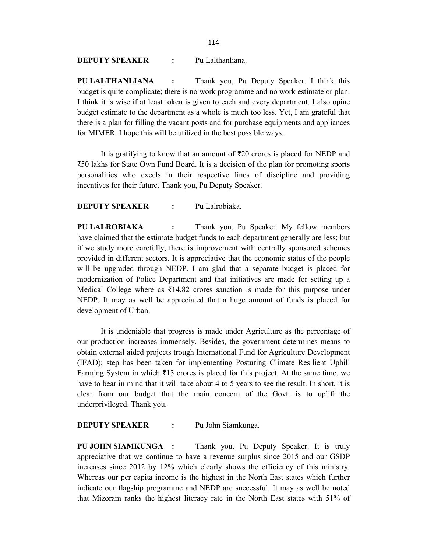**DEPUTY SPEAKER :** Pu Lalthanliana.

**PU LALTHANLIANA :** Thank you, Pu Deputy Speaker. I think this budget is quite complicate; there is no work programme and no work estimate or plan. I think it is wise if at least token is given to each and every department. I also opine budget estimate to the department as a whole is much too less. Yet, I am grateful that there is a plan for filling the vacant posts and for purchase equipments and appliances for MIMER. I hope this will be utilized in the best possible ways.

It is gratifying to know that an amount of ₹20 crores is placed for NEDP and ₹50 lakhs for State Own Fund Board. It is a decision of the plan for promoting sports personalities who excels in their respective lines of discipline and providing incentives for their future. Thank you, Pu Deputy Speaker.

**DEPUTY SPEAKER :** Pu Lalrobiaka.

**PU LALROBIAKA :** Thank you, Pu Speaker. My fellow members have claimed that the estimate budget funds to each department generally are less; but if we study more carefully, there is improvement with centrally sponsored schemes provided in different sectors. It is appreciative that the economic status of the people will be upgraded through NEDP. I am glad that a separate budget is placed for modernization of Police Department and that initiatives are made for setting up a Medical College where as  $\overline{3}14.82$  crores sanction is made for this purpose under NEDP. It may as well be appreciated that a huge amount of funds is placed for development of Urban.

It is undeniable that progress is made under Agriculture as the percentage of our production increases immensely. Besides, the government determines means to obtain external aided projects trough International Fund for Agriculture Development (IFAD); step has been taken for implementing Posturing Climate Resilient Uphill Farming System in which  $\bar{\tau}$ 13 crores is placed for this project. At the same time, we have to bear in mind that it will take about 4 to 5 years to see the result. In short, it is clear from our budget that the main concern of the Govt. is to uplift the underprivileged. Thank you.

**DEPUTY SPEAKER :** Pu John Siamkunga.

**PU JOHN SIAMKUNGA :** Thank you. Pu Deputy Speaker. It is truly appreciative that we continue to have a revenue surplus since 2015 and our GSDP increases since 2012 by 12% which clearly shows the efficiency of this ministry. Whereas our per capita income is the highest in the North East states which further indicate our flagship programme and NEDP are successful. It may as well be noted that Mizoram ranks the highest literacy rate in the North East states with 51% of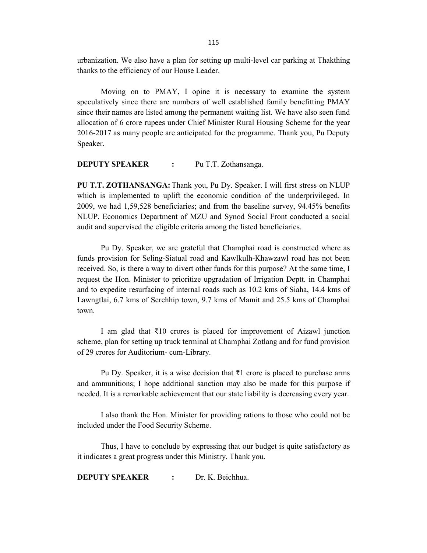urbanization. We also have a plan for setting up multi-level car parking at Thakthing thanks to the efficiency of our House Leader.

Moving on to PMAY, I opine it is necessary to examine the system speculatively since there are numbers of well established family benefitting PMAY since their names are listed among the permanent waiting list. We have also seen fund allocation of 6 crore rupees under Chief Minister Rural Housing Scheme for the year 2016-2017 as many people are anticipated for the programme. Thank you, Pu Deputy Speaker.

**DEPUTY SPEAKER :** Pu T.T. Zothansanga.

**PU T.T. ZOTHANSANGA:** Thank you, Pu Dy. Speaker. I will first stress on NLUP which is implemented to uplift the economic condition of the underprivileged. In 2009, we had 1,59,528 beneficiaries; and from the baseline survey, 94.45% benefits NLUP. Economics Department of MZU and Synod Social Front conducted a social audit and supervised the eligible criteria among the listed beneficiaries.

Pu Dy. Speaker, we are grateful that Champhai road is constructed where as funds provision for Seling-Siatual road and Kawlkulh-Khawzawl road has not been received. So, is there a way to divert other funds for this purpose? At the same time, I request the Hon. Minister to prioritize upgradation of Irrigation Deptt. in Champhai and to expedite resurfacing of internal roads such as 10.2 kms of Siaha, 14.4 kms of Lawngtlai, 6.7 kms of Serchhip town, 9.7 kms of Mamit and 25.5 kms of Champhai town.

I am glad that ₹10 crores is placed for improvement of Aizawl junction scheme, plan for setting up truck terminal at Champhai Zotlang and for fund provision of 29 crores for Auditorium- cum-Library.

Pu Dy. Speaker, it is a wise decision that ₹1 crore is placed to purchase arms and ammunitions; I hope additional sanction may also be made for this purpose if needed. It is a remarkable achievement that our state liability is decreasing every year.

I also thank the Hon. Minister for providing rations to those who could not be included under the Food Security Scheme.

Thus, I have to conclude by expressing that our budget is quite satisfactory as it indicates a great progress under this Ministry. Thank you.

**DEPUTY SPEAKER :** Dr. K. Beichhua.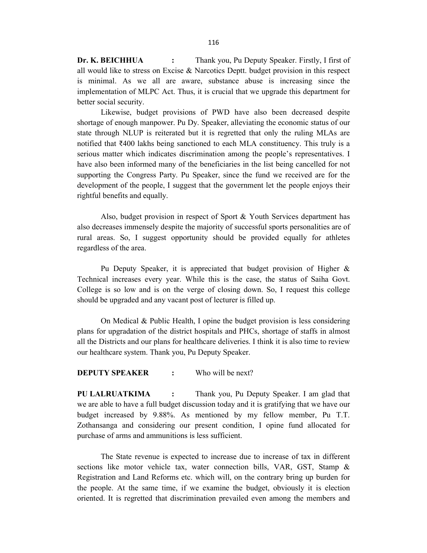**Dr. K. BEICHHUA** : Thank you, Pu Deputy Speaker. Firstly, I first of all would like to stress on Excise & Narcotics Deptt. budget provision in this respect is minimal. As we all are aware, substance abuse is increasing since the implementation of MLPC Act. Thus, it is crucial that we upgrade this department for better social security.

Likewise, budget provisions of PWD have also been decreased despite shortage of enough manpower. Pu Dy. Speaker, alleviating the economic status of our state through NLUP is reiterated but it is regretted that only the ruling MLAs are notified that ₹400 lakhs being sanctioned to each MLA constituency. This truly is a serious matter which indicates discrimination among the people's representatives. I have also been informed many of the beneficiaries in the list being cancelled for not supporting the Congress Party. Pu Speaker, since the fund we received are for the development of the people, I suggest that the government let the people enjoys their rightful benefits and equally.

Also, budget provision in respect of Sport & Youth Services department has also decreases immensely despite the majority of successful sports personalities are of rural areas. So, I suggest opportunity should be provided equally for athletes regardless of the area.

Pu Deputy Speaker, it is appreciated that budget provision of Higher & Technical increases every year. While this is the case, the status of Saiha Govt. College is so low and is on the verge of closing down. So, I request this college should be upgraded and any vacant post of lecturer is filled up.

On Medical & Public Health, I opine the budget provision is less considering plans for upgradation of the district hospitals and PHCs, shortage of staffs in almost all the Districts and our plans for healthcare deliveries. I think it is also time to review our healthcare system. Thank you, Pu Deputy Speaker.

# **DEPUTY SPEAKER** : Who will be next?

**PU LALRUATKIMA :** Thank you, Pu Deputy Speaker. I am glad that we are able to have a full budget discussion today and it is gratifying that we have our budget increased by 9.88%. As mentioned by my fellow member, Pu T.T. Zothansanga and considering our present condition, I opine fund allocated for purchase of arms and ammunitions is less sufficient.

The State revenue is expected to increase due to increase of tax in different sections like motor vehicle tax, water connection bills, VAR, GST, Stamp & Registration and Land Reforms etc. which will, on the contrary bring up burden for the people. At the same time, if we examine the budget, obviously it is election oriented. It is regretted that discrimination prevailed even among the members and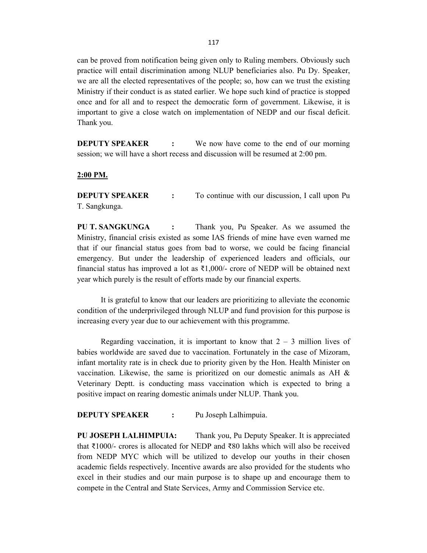can be proved from notification being given only to Ruling members. Obviously such practice will entail discrimination among NLUP beneficiaries also. Pu Dy. Speaker, we are all the elected representatives of the people; so, how can we trust the existing Ministry if their conduct is as stated earlier. We hope such kind of practice is stopped once and for all and to respect the democratic form of government. Likewise, it is important to give a close watch on implementation of NEDP and our fiscal deficit. Thank you.

**DEPUTY SPEAKER** : We now have come to the end of our morning session; we will have a short recess and discussion will be resumed at 2:00 pm.

### **2:00 PM.**

**DEPUTY SPEAKER** : To continue with our discussion, I call upon Pu T. Sangkunga.

**PU T. SANGKUNGA :** Thank you, Pu Speaker. As we assumed the Ministry, financial crisis existed as some IAS friends of mine have even warned me that if our financial status goes from bad to worse, we could be facing financial emergency. But under the leadership of experienced leaders and officials, our financial status has improved a lot as  $\text{\textsterling}1,000$ /- crore of NEDP will be obtained next year which purely is the result of efforts made by our financial experts.

It is grateful to know that our leaders are prioritizing to alleviate the economic condition of the underprivileged through NLUP and fund provision for this purpose is increasing every year due to our achievement with this programme.

Regarding vaccination, it is important to know that  $2 - 3$  million lives of babies worldwide are saved due to vaccination. Fortunately in the case of Mizoram, infant mortality rate is in check due to priority given by the Hon. Health Minister on vaccination. Likewise, the same is prioritized on our domestic animals as AH & Veterinary Deptt. is conducting mass vaccination which is expected to bring a positive impact on rearing domestic animals under NLUP. Thank you.

## **DEPUTY SPEAKER :** Pu Joseph Lalhimpuia.

**PU JOSEPH LALHIMPUIA:** Thank you, Pu Deputy Speaker. It is appreciated that ₹1000/- crores is allocated for NEDP and ₹80 lakhs which will also be received from NEDP MYC which will be utilized to develop our youths in their chosen academic fields respectively. Incentive awards are also provided for the students who excel in their studies and our main purpose is to shape up and encourage them to compete in the Central and State Services, Army and Commission Service etc.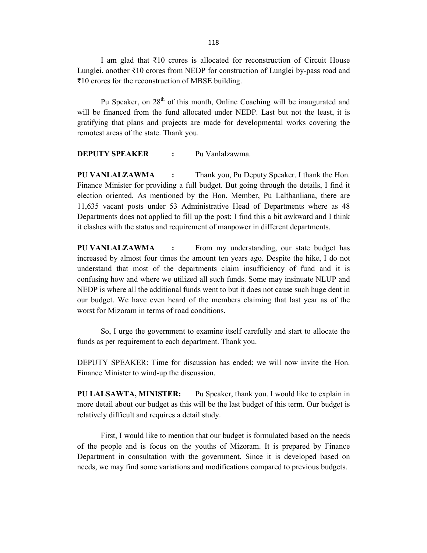I am glad that ₹10 crores is allocated for reconstruction of Circuit House Lunglei, another  $\bar{\tau}10$  crores from NEDP for construction of Lunglei by-pass road and ₹10 crores for the reconstruction of MBSE building.

Pu Speaker, on  $28<sup>th</sup>$  of this month, Online Coaching will be inaugurated and will be financed from the fund allocated under NEDP. Last but not the least, it is gratifying that plans and projects are made for developmental works covering the remotest areas of the state. Thank you.

# **DEPUTY SPEAKER :** Pu Vanlalzawma.

**PU VANLALZAWMA :** Thank you, Pu Deputy Speaker. I thank the Hon. Finance Minister for providing a full budget. But going through the details, I find it election oriented. As mentioned by the Hon. Member, Pu Lalthanliana, there are 11,635 vacant posts under 53 Administrative Head of Departments where as 48 Departments does not applied to fill up the post; I find this a bit awkward and I think it clashes with the status and requirement of manpower in different departments.

**PU VANLALZAWMA :** From my understanding, our state budget has increased by almost four times the amount ten years ago. Despite the hike, I do not understand that most of the departments claim insufficiency of fund and it is confusing how and where we utilized all such funds. Some may insinuate NLUP and NEDP is where all the additional funds went to but it does not cause such huge dent in our budget. We have even heard of the members claiming that last year as of the worst for Mizoram in terms of road conditions.

So, I urge the government to examine itself carefully and start to allocate the funds as per requirement to each department. Thank you.

DEPUTY SPEAKER: Time for discussion has ended; we will now invite the Hon. Finance Minister to wind-up the discussion.

**PU LALSAWTA, MINISTER:** Pu Speaker, thank you. I would like to explain in more detail about our budget as this will be the last budget of this term. Our budget is relatively difficult and requires a detail study.

First, I would like to mention that our budget is formulated based on the needs of the people and is focus on the youths of Mizoram. It is prepared by Finance Department in consultation with the government. Since it is developed based on needs, we may find some variations and modifications compared to previous budgets.